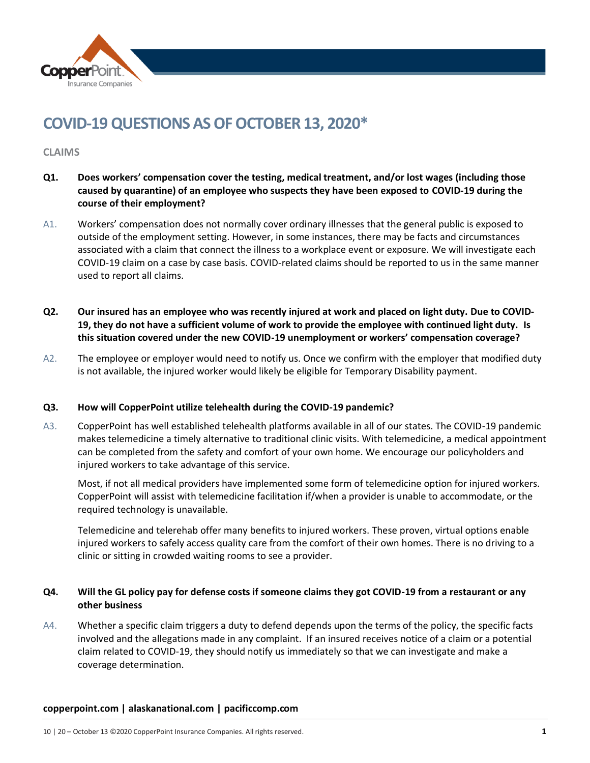

# **COVID-19 QUESTIONS AS OF OCTOBER 13, 2020\***

## **CLAIMS**

- **Q1. Does workers' compensation cover the testing, medical treatment, and/or lost wages (including those caused by quarantine) of an employee who suspects they have been exposed to COVID-19 during the course of their employment?**
- A1. Workers' compensation does not normally cover ordinary illnesses that the general public is exposed to outside of the employment setting. However, in some instances, there may be facts and circumstances associated with a claim that connect the illness to a workplace event or exposure. We will investigate each COVID-19 claim on a case by case basis. COVID-related claims should be reported to us in the same manner used to report all claims.
- **Q2. Our insured has an employee who was recently injured at work and placed on light duty. Due to COVID-19, they do not have a sufficient volume of work to provide the employee with continued light duty. Is this situation covered under the new COVID-19 unemployment or workers' compensation coverage?**
- A2. The employee or employer would need to notify us. Once we confirm with the employer that modified duty is not available, the injured worker would likely be eligible for Temporary Disability payment.

## **Q3. How will CopperPoint utilize telehealth during the COVID-19 pandemic?**

A3. CopperPoint has well established telehealth platforms available in all of our states. The COVID-19 pandemic makes telemedicine a timely alternative to traditional clinic visits. With telemedicine, a medical appointment can be completed from the safety and comfort of your own home. We encourage our policyholders and injured workers to take advantage of this service.

Most, if not all medical providers have implemented some form of telemedicine option for injured workers. CopperPoint will assist with telemedicine facilitation if/when a provider is unable to accommodate, or the required technology is unavailable.

Telemedicine and telerehab offer many benefits to injured workers. These proven, virtual options enable injured workers to safely access quality care from the comfort of their own homes. There is no driving to a clinic or sitting in crowded waiting rooms to see a provider.

# **Q4. Will the GL policy pay for defense costs if someone claims they got COVID-19 from a restaurant or any other business**

A4. Whether a specific claim triggers a duty to defend depends upon the terms of the policy, the specific facts involved and the allegations made in any complaint. If an insured receives notice of a claim or a potential claim related to COVID-19, they should notify us immediately so that we can investigate and make a coverage determination.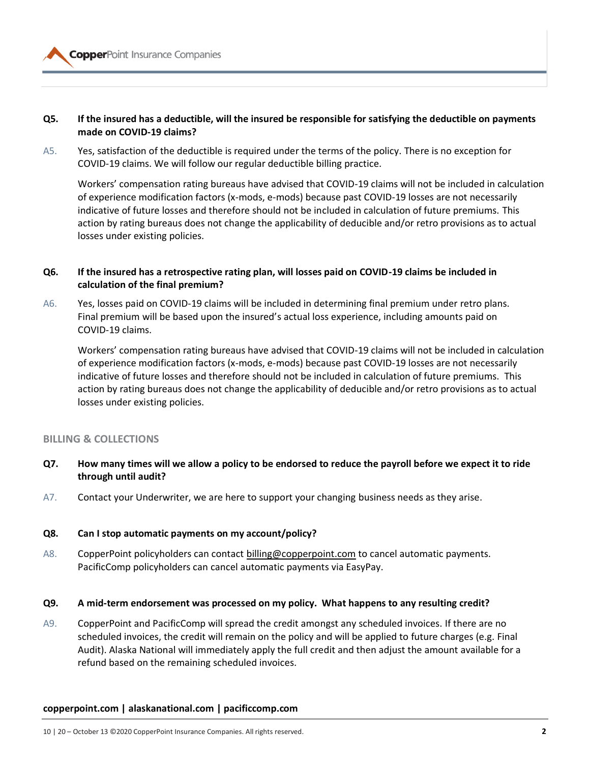## **Q5. If the insured has a deductible, will the insured be responsible for satisfying the deductible on payments made on COVID-19 claims?**

A5. Yes, satisfaction of the deductible is required under the terms of the policy. There is no exception for COVID-19 claims. We will follow our regular deductible billing practice.

Workers' compensation rating bureaus have advised that COVID-19 claims will not be included in calculation of experience modification factors (x-mods, e-mods) because past COVID-19 losses are not necessarily indicative of future losses and therefore should not be included in calculation of future premiums. This action by rating bureaus does not change the applicability of deducible and/or retro provisions as to actual losses under existing policies.

# **Q6. If the insured has a retrospective rating plan, will losses paid on COVID-19 claims be included in calculation of the final premium?**

A6. Yes, losses paid on COVID-19 claims will be included in determining final premium under retro plans. Final premium will be based upon the insured's actual loss experience, including amounts paid on COVID-19 claims.

Workers' compensation rating bureaus have advised that COVID-19 claims will not be included in calculation of experience modification factors (x-mods, e-mods) because past COVID-19 losses are not necessarily indicative of future losses and therefore should not be included in calculation of future premiums. This action by rating bureaus does not change the applicability of deducible and/or retro provisions as to actual losses under existing policies.

## **BILLING & COLLECTIONS**

- **Q7. How many times will we allow a policy to be endorsed to reduce the payroll before we expect it to ride through until audit?**
- A7. Contact your Underwriter, we are here to support your changing business needs as they arise.

## **Q8. Can I stop automatic payments on my account/policy?**

A8. CopperPoint policyholders can contac[t billing@copperpoint.com](mailto:billing@copperpoint.com) to cancel automatic payments. PacificComp policyholders can cancel automatic payments via EasyPay.

## **Q9. A mid-term endorsement was processed on my policy. What happens to any resulting credit?**

A9. CopperPoint and PacificComp will spread the credit amongst any scheduled invoices. If there are no scheduled invoices, the credit will remain on the policy and will be applied to future charges (e.g. Final Audit). Alaska National will immediately apply the full credit and then adjust the amount available for a refund based on the remaining scheduled invoices.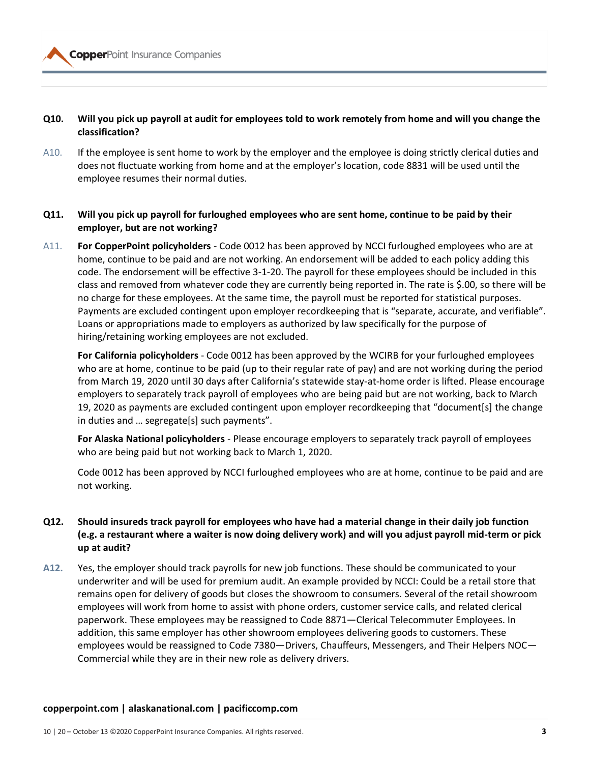# **Q10. Will you pick up payroll at audit for employees told to work remotely from home and will you change the classification?**

A10. If the employee is sent home to work by the employer and the employee is doing strictly clerical duties and does not fluctuate working from home and at the employer's location, code 8831 will be used until the employee resumes their normal duties.

# **Q11. Will you pick up payroll for furloughed employees who are sent home, continue to be paid by their employer, but are not working?**

A11. **For CopperPoint policyholders** - Code 0012 has been approved by NCCI furloughed employees who are at home, continue to be paid and are not working. An endorsement will be added to each policy adding this code. The endorsement will be effective 3-1-20. The payroll for these employees should be included in this class and removed from whatever code they are currently being reported in. The rate is \$.00, so there will be no charge for these employees. At the same time, the payroll must be reported for statistical purposes. Payments are excluded contingent upon employer recordkeeping that is "separate, accurate, and verifiable". Loans or appropriations made to employers as authorized by law specifically for the purpose of hiring/retaining working employees are not excluded.

**For California policyholders** - Code 0012 has been approved by the WCIRB for your furloughed employees who are at home, continue to be paid (up to their regular rate of pay) and are not working during the period from March 19, 2020 until 30 days after California's statewide stay-at-home order is lifted. Please encourage employers to separately track payroll of employees who are being paid but are not working, back to March 19, 2020 as payments are excluded contingent upon employer recordkeeping that "document[s] the change in duties and … segregate[s] such payments".

**For Alaska National policyholders** - Please encourage employers to separately track payroll of employees who are being paid but not working back to March 1, 2020.

Code 0012 has been approved by NCCI furloughed employees who are at home, continue to be paid and are not working.

# **Q12. Should insureds track payroll for employees who have had a material change in their daily job function (e.g. a restaurant where a waiter is now doing delivery work) and will you adjust payroll mid-term or pick up at audit?**

**A12.** Yes, the employer should track payrolls for new job functions. These should be communicated to your underwriter and will be used for premium audit. An example provided by NCCI: Could be a retail store that remains open for delivery of goods but closes the showroom to consumers. Several of the retail showroom employees will work from home to assist with phone orders, customer service calls, and related clerical paperwork. These employees may be reassigned to Code 8871—Clerical Telecommuter Employees. In addition, this same employer has other showroom employees delivering goods to customers. These employees would be reassigned to Code 7380—Drivers, Chauffeurs, Messengers, and Their Helpers NOC— Commercial while they are in their new role as delivery drivers.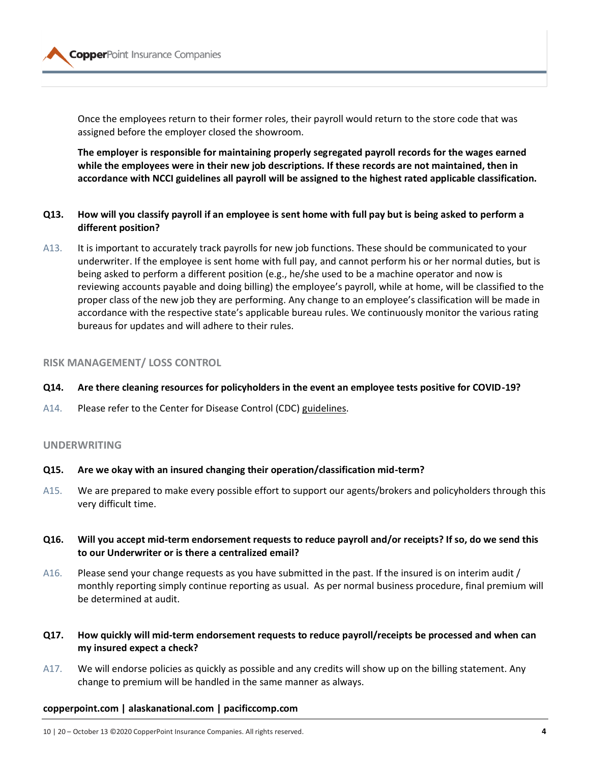

Once the employees return to their former roles, their payroll would return to the store code that was assigned before the employer closed the showroom.

**The employer is responsible for maintaining properly segregated payroll records for the wages earned while the employees were in their new job descriptions. If these records are not maintained, then in accordance with NCCI guidelines all payroll will be assigned to the highest rated applicable classification.** 

- **Q13. How will you classify payroll if an employee is sent home with full pay but is being asked to perform a different position?**
- A13. It is important to accurately track payrolls for new job functions. These should be communicated to your underwriter. If the employee is sent home with full pay, and cannot perform his or her normal duties, but is being asked to perform a different position (e.g., he/she used to be a machine operator and now is reviewing accounts payable and doing billing) the employee's payroll, while at home, will be classified to the proper class of the new job they are performing. Any change to an employee's classification will be made in accordance with the respective state's applicable bureau rules. We continuously monitor the various rating bureaus for updates and will adhere to their rules.

## **RISK MANAGEMENT/ LOSS CONTROL**

- **Q14. Are there cleaning resources for policyholders in the event an employee tests positive for COVID-19?**
- A14. Please refer to the Center for Disease Control (CDC) [guidelines.](https://www.cdc.gov/coronavirus/2019-ncov/community/organizations/cleaning-disinfection.html)

## **UNDERWRITING**

## **Q15. Are we okay with an insured changing their operation/classification mid-term?**

- A15. We are prepared to make every possible effort to support our agents/brokers and policyholders through this very difficult time.
- **Q16. Will you accept mid-term endorsement requests to reduce payroll and/or receipts? If so, do we send this to our Underwriter or is there a centralized email?**
- A16. Please send your change requests as you have submitted in the past. If the insured is on interim audit / monthly reporting simply continue reporting as usual. As per normal business procedure, final premium will be determined at audit.
- **Q17. How quickly will mid-term endorsement requests to reduce payroll/receipts be processed and when can my insured expect a check?**
- A17. We will endorse policies as quickly as possible and any credits will show up on the billing statement. Any change to premium will be handled in the same manner as always.